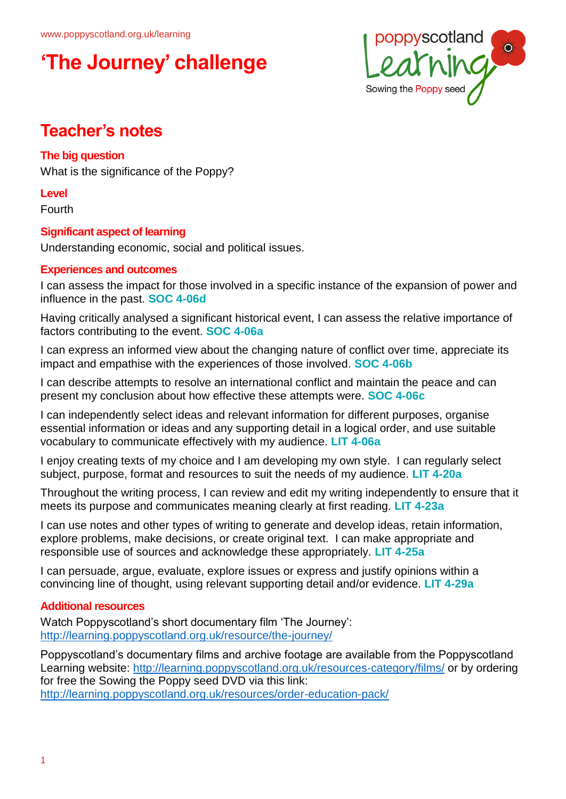

### **Teacher's notes**

### **The big question**

What is the significance of the Poppy?

### **Level**

Fourth

### **Significant aspect of learning**

Understanding economic, social and political issues.

### **Experiences and outcomes**

I can assess the impact for those involved in a specific instance of the expansion of power and influence in the past. **SOC 4-06d**

Having critically analysed a significant historical event, I can assess the relative importance of factors contributing to the event. **SOC 4-06a**

I can express an informed view about the changing nature of conflict over time, appreciate its impact and empathise with the experiences of those involved. **SOC 4-06b**

I can describe attempts to resolve an international conflict and maintain the peace and can present my conclusion about how effective these attempts were. **SOC 4-06c**

I can independently select ideas and relevant information for different purposes, organise essential information or ideas and any supporting detail in a logical order, and use suitable vocabulary to communicate effectively with my audience. **LIT 4-06a**

I enjoy creating texts of my choice and I am developing my own style. I can regularly select subject, purpose, format and resources to suit the needs of my audience. **LIT 4-20a**

Throughout the writing process, I can review and edit my writing independently to ensure that it meets its purpose and communicates meaning clearly at first reading. **LIT 4-23a**

I can use notes and other types of writing to generate and develop ideas, retain information, explore problems, make decisions, or create original text. I can make appropriate and responsible use of sources and acknowledge these appropriately. **LIT 4-25a**

I can persuade, argue, evaluate, explore issues or express and justify opinions within a convincing line of thought, using relevant supporting detail and/or evidence. **LIT 4-29a**

### **Additional resources**

Watch Poppyscotland's short documentary film 'The Journey': <http://learning.poppyscotland.org.uk/resource/the-journey/>

Poppyscotland's documentary films and archive footage are available from the Poppyscotland Learning website:<http://learning.poppyscotland.org.uk/resources-category/films/> or by ordering for free the Sowing the Poppy seed DVD via this link: <http://learning.poppyscotland.org.uk/resources/order-education-pack/>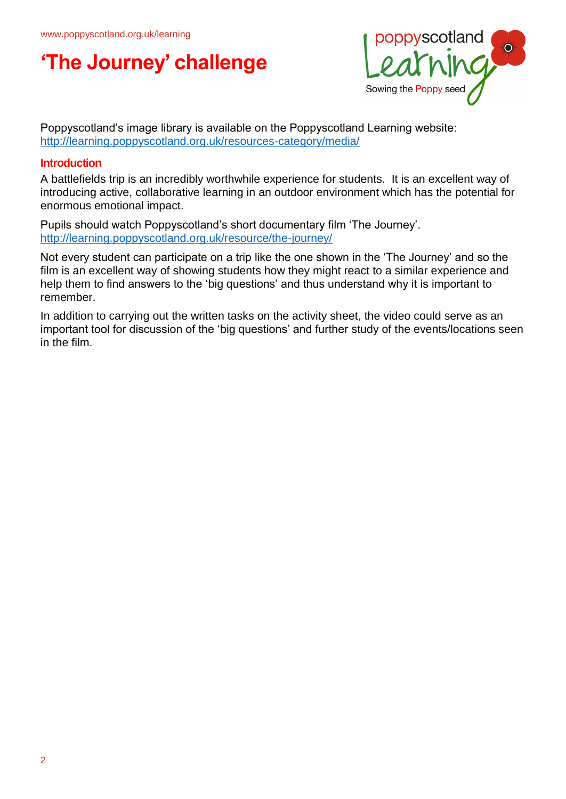

Poppyscotland's image library is available on the Poppyscotland Learning website: <http://learning.poppyscotland.org.uk/resources-category/media/>

### **Introduction**

A battlefields trip is an incredibly worthwhile experience for students. It is an excellent way of introducing active, collaborative learning in an outdoor environment which has the potential for enormous emotional impact.

Pupils should watch Poppyscotland's short documentary film 'The Journey'. <http://learning.poppyscotland.org.uk/resource/the-journey/>

Not every student can participate on a trip like the one shown in the 'The Journey' and so the film is an excellent way of showing students how they might react to a similar experience and help them to find answers to the 'big questions' and thus understand why it is important to remember.

In addition to carrying out the written tasks on the activity sheet, the video could serve as an important tool for discussion of the 'big questions' and further study of the events/locations seen in the film.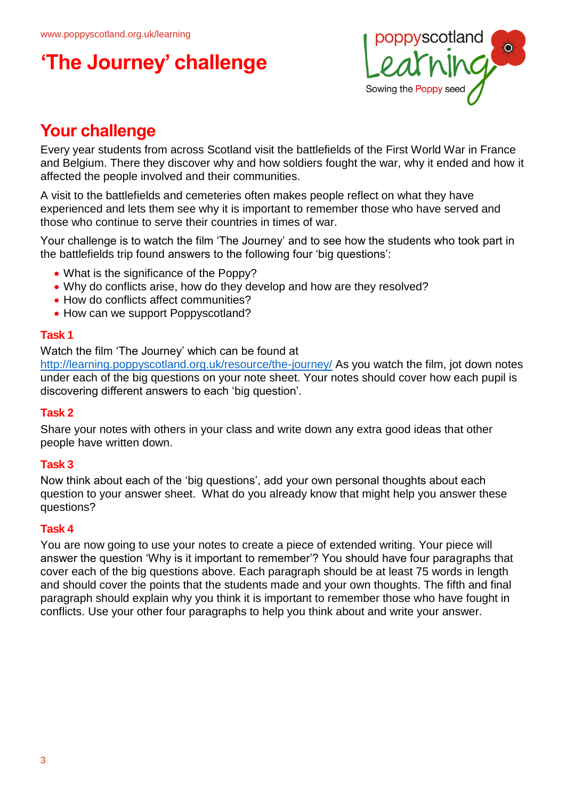

## **Your challenge**

Every year students from across Scotland visit the battlefields of the First World War in France and Belgium. There they discover why and how soldiers fought the war, why it ended and how it affected the people involved and their communities.

A visit to the battlefields and cemeteries often makes people reflect on what they have experienced and lets them see why it is important to remember those who have served and those who continue to serve their countries in times of war.

Your challenge is to watch the film 'The Journey' and to see how the students who took part in the battlefields trip found answers to the following four 'big questions':

- What is the significance of the Poppy?
- Why do conflicts arise, how do they develop and how are they resolved?
- How do conflicts affect communities?
- How can we support Poppyscotland?

#### **Task 1**

Watch the film 'The Journey' which can be found at

<http://learning.poppyscotland.org.uk/resource/the-journey/> As you watch the film, jot down notes under each of the big questions on your note sheet. Your notes should cover how each pupil is discovering different answers to each 'big question'.

### **Task 2**

Share your notes with others in your class and write down any extra good ideas that other people have written down.

### **Task 3**

Now think about each of the 'big questions', add your own personal thoughts about each question to your answer sheet. What do you already know that might help you answer these questions?

### **Task 4**

You are now going to use your notes to create a piece of extended writing. Your piece will answer the question 'Why is it important to remember'? You should have four paragraphs that cover each of the big questions above. Each paragraph should be at least 75 words in length and should cover the points that the students made and your own thoughts. The fifth and final paragraph should explain why you think it is important to remember those who have fought in conflicts. Use your other four paragraphs to help you think about and write your answer.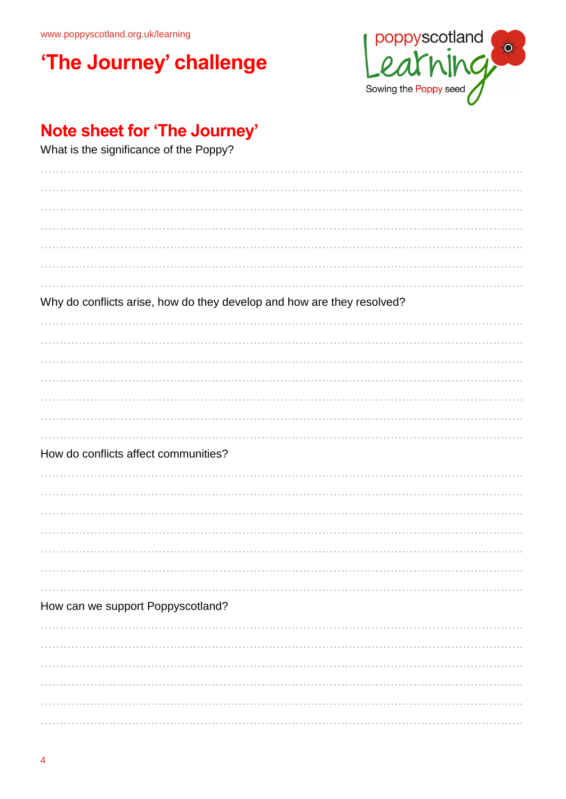www.poppyscotland.org.uk/learning

# 'The Journey' challenge



## Note sheet for 'The Journey'

What is the significance of the Poppy?

| Why do conflicts arise, how do they develop and how are they resolved? |  |  |
|------------------------------------------------------------------------|--|--|
|                                                                        |  |  |
|                                                                        |  |  |
|                                                                        |  |  |
|                                                                        |  |  |
|                                                                        |  |  |
|                                                                        |  |  |
|                                                                        |  |  |
| How do conflicts affect communities?                                   |  |  |
|                                                                        |  |  |
|                                                                        |  |  |
|                                                                        |  |  |
|                                                                        |  |  |
|                                                                        |  |  |
|                                                                        |  |  |
|                                                                        |  |  |
| How can we support Poppyscotland?                                      |  |  |
|                                                                        |  |  |
|                                                                        |  |  |
|                                                                        |  |  |
|                                                                        |  |  |
|                                                                        |  |  |
|                                                                        |  |  |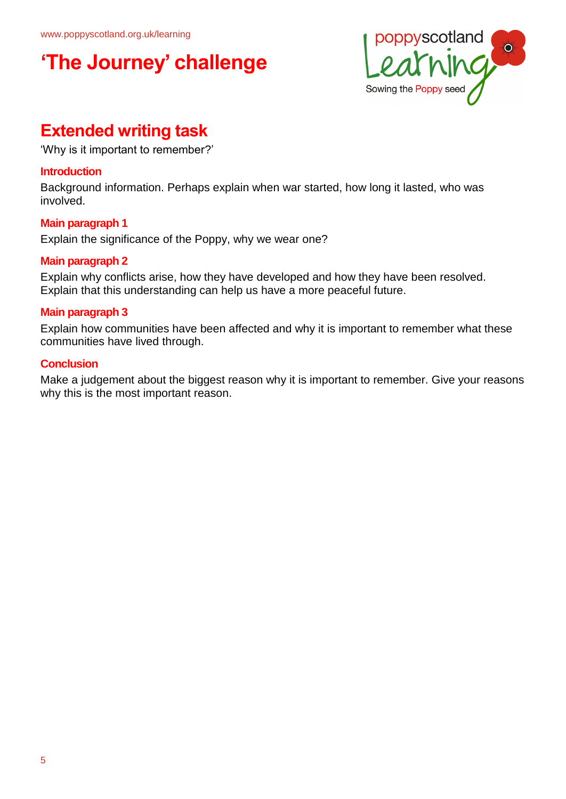

## **Extended writing task**

'Why is it important to remember?'

### **Introduction**

Background information. Perhaps explain when war started, how long it lasted, who was involved.

### **Main paragraph 1**

Explain the significance of the Poppy, why we wear one?

### **Main paragraph 2**

Explain why conflicts arise, how they have developed and how they have been resolved. Explain that this understanding can help us have a more peaceful future.

### **Main paragraph 3**

Explain how communities have been affected and why it is important to remember what these communities have lived through.

### **Conclusion**

Make a judgement about the biggest reason why it is important to remember. Give your reasons why this is the most important reason.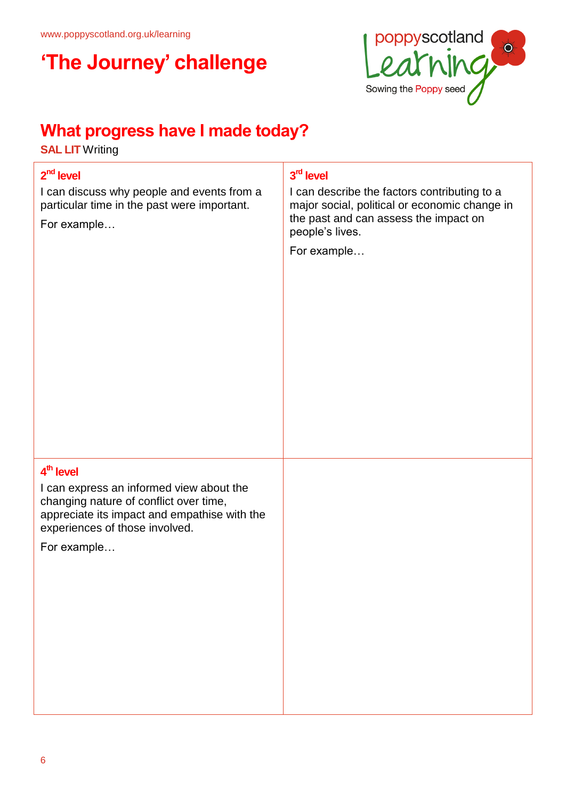

## **What progress have I made today?**

**SAL LIT** Writing

### **2 nd level**

I can discuss why people and events from a particular time in the past were important.

For example…

### **3 rd level**

I can describe the factors contributing to a major social, political or economic change in the past and can assess the impact on people's lives.

For example…

### **4 th level**

I can express an informed view about the changing nature of conflict over time, appreciate its impact and empathise with the experiences of those involved.

For example…